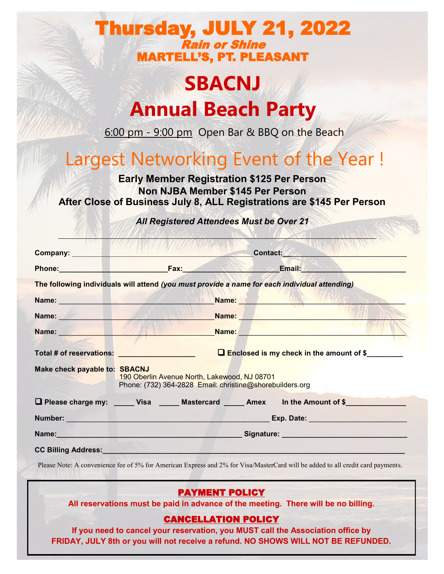### Thursday, JULY 21, 2022 Rain or Shine MARTELL'S, PT. PLEASANT

# **SBACNJ Annual Beach Party**

6:00 pm - 9:00 pm Open Bar & BBQ on the Beach

## Largest Networking Event of the Year !

**Early Member Registration \$125 Per Person Non NJBA Member \$145 Per Person After Close of Business July 8, ALL Registrations are \$145 Per Person**

*All Registered Attendees Must be Over 21*

| Company:                                                                                                      |                                                                                                                                                                                                                               | Contact:                                                                                                                                                                                                                            |
|---------------------------------------------------------------------------------------------------------------|-------------------------------------------------------------------------------------------------------------------------------------------------------------------------------------------------------------------------------|-------------------------------------------------------------------------------------------------------------------------------------------------------------------------------------------------------------------------------------|
|                                                                                                               |                                                                                                                                                                                                                               |                                                                                                                                                                                                                                     |
|                                                                                                               | The following individuals will attend (you must provide a name for each individual attending)                                                                                                                                 |                                                                                                                                                                                                                                     |
|                                                                                                               | Name: Name: Name: Name: Name: Name: Name: Name: Name: Name: Name: Name: Name: Name: Name: Name: Name: Name: Name: Name: Name: Name: Name: Name: Name: Name: Name: Name: Name: Name: Name: Name: Name: Name: Name: Name: Name: | <b>Name:</b> Name: Name: Name: Name: Name: Name: Name: Name: Name: Name: Name: Name: Name: Name: Name: Name: Name: Name: Name: Name: Name: Name: Name: Name: Name: Name: Name: Name: Name: Name: Name: Name: Name: Name: Name: Name |
|                                                                                                               | Name: Name: Name: Name: Name: Name: Name: Name: Name: Name: Name: Name: Name: Name: Name: Name: Name: Name: Name: Name: Name: Name: Name: Name: Name: Name: Name: Name: Name: Name: Name: Name: Name: Name: Name: Name: Name: | Name: Name: Name: Name: Name: Name: Name: Name: Name: Name: Name: Name: Name: Name: Name: Name: Name: Name: Name: Name: Name: Name: Name: Name: Name: Name: Name: Name: Name: Name: Name: Name: Name: Name: Name: Name: Name:       |
| Name: Name and Name and Name and Name and Name and Name and Name and Name and Name and Name and Name and Name |                                                                                                                                                                                                                               |                                                                                                                                                                                                                                     |
|                                                                                                               |                                                                                                                                                                                                                               | Name: Name: Name: Name: Name: Name: Name: Name: Name: Name: Name: Name: Name: Name: Name: Name: Name: Name: Name: Name: Name: Name: Name: Name: Name: Name: Name: Name: Name: Name: Name: Name: Name: Name: Name: Name: Name:       |
|                                                                                                               |                                                                                                                                                                                                                               | <b>Enclosed is my check in the amount of \$</b>                                                                                                                                                                                     |
| Make check payable to: SBACNJ                                                                                 | 190 Oberlin Avenue North, Lakewood, NJ 08701<br>Phone: (732) 364-2828 Email: christine@shorebuilders.org                                                                                                                      |                                                                                                                                                                                                                                     |
|                                                                                                               |                                                                                                                                                                                                                               | □ Please charge my: _____ Visa _____ Mastercard _____ Amex in the Amount of \$______________                                                                                                                                        |
|                                                                                                               |                                                                                                                                                                                                                               |                                                                                                                                                                                                                                     |

Please Note: A convenience fee of 5% for American Express and 2% for Visa/MasterCard will be added to all credit card payments.

#### PAYMENT POLICY

**All reservations must be paid in advance of the meeting. There will be no billing.**

#### CANCELLATION POLICY

**If you need to cancel your reservation, you MUST call the Association office by FRIDAY, JULY 8th or you will not receive a refund. NO SHOWS WILL NOT BE REFUNDED.**